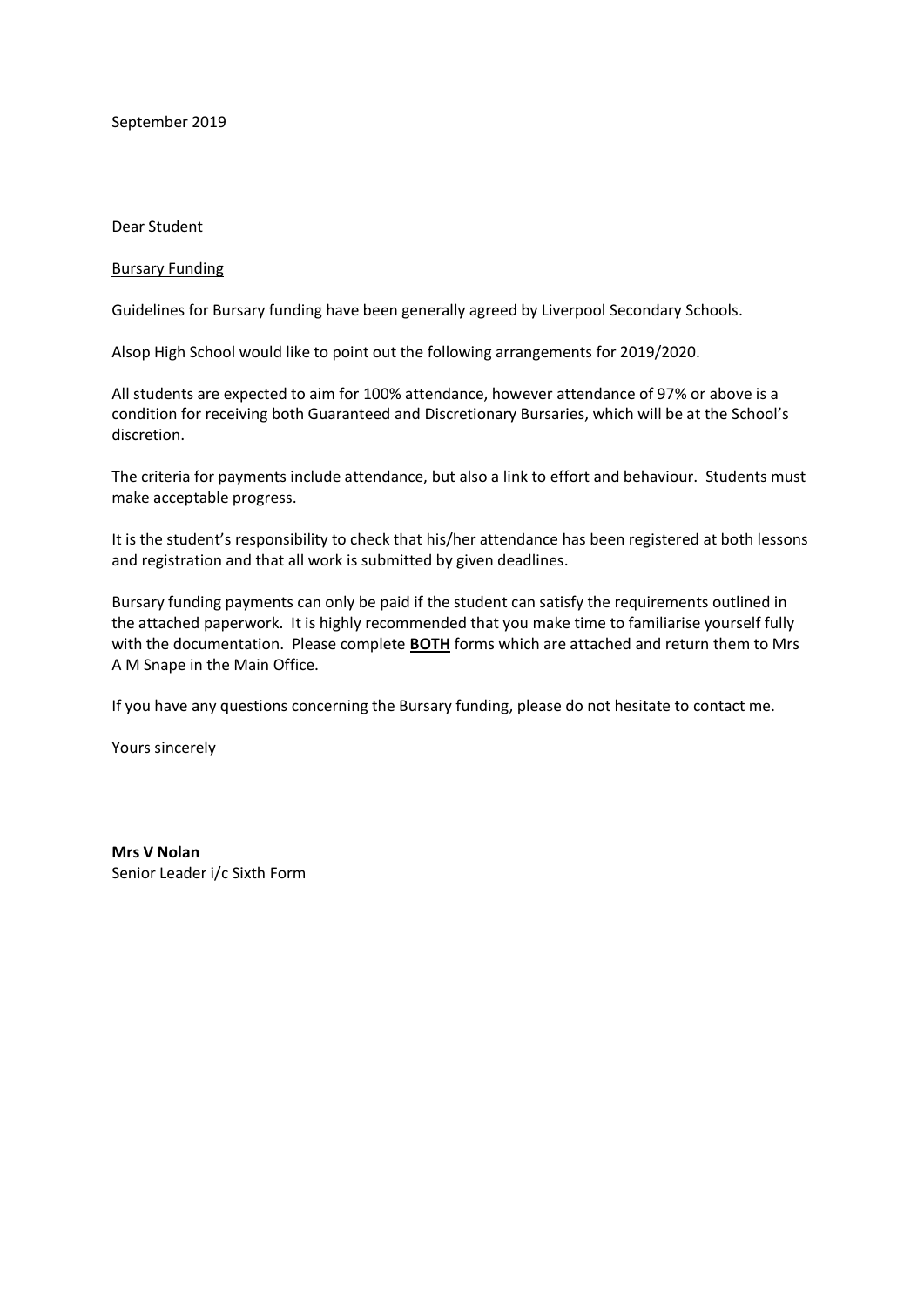September 2019

Dear Student

#### Bursary Funding

Guidelines for Bursary funding have been generally agreed by Liverpool Secondary Schools.

Alsop High School would like to point out the following arrangements for 2019/2020.

All students are expected to aim for 100% attendance, however attendance of 97% or above is a condition for receiving both Guaranteed and Discretionary Bursaries, which will be at the School's discretion.

The criteria for payments include attendance, but also a link to effort and behaviour. Students must make acceptable progress.

It is the student's responsibility to check that his/her attendance has been registered at both lessons and registration and that all work is submitted by given deadlines.

Bursary funding payments can only be paid if the student can satisfy the requirements outlined in the attached paperwork. It is highly recommended that you make time to familiarise yourself fully with the documentation. Please complete **BOTH** forms which are attached and return them to Mrs A M Snape in the Main Office.

If you have any questions concerning the Bursary funding, please do not hesitate to contact me.

Yours sincerely

**Mrs V Nolan** Senior Leader i/c Sixth Form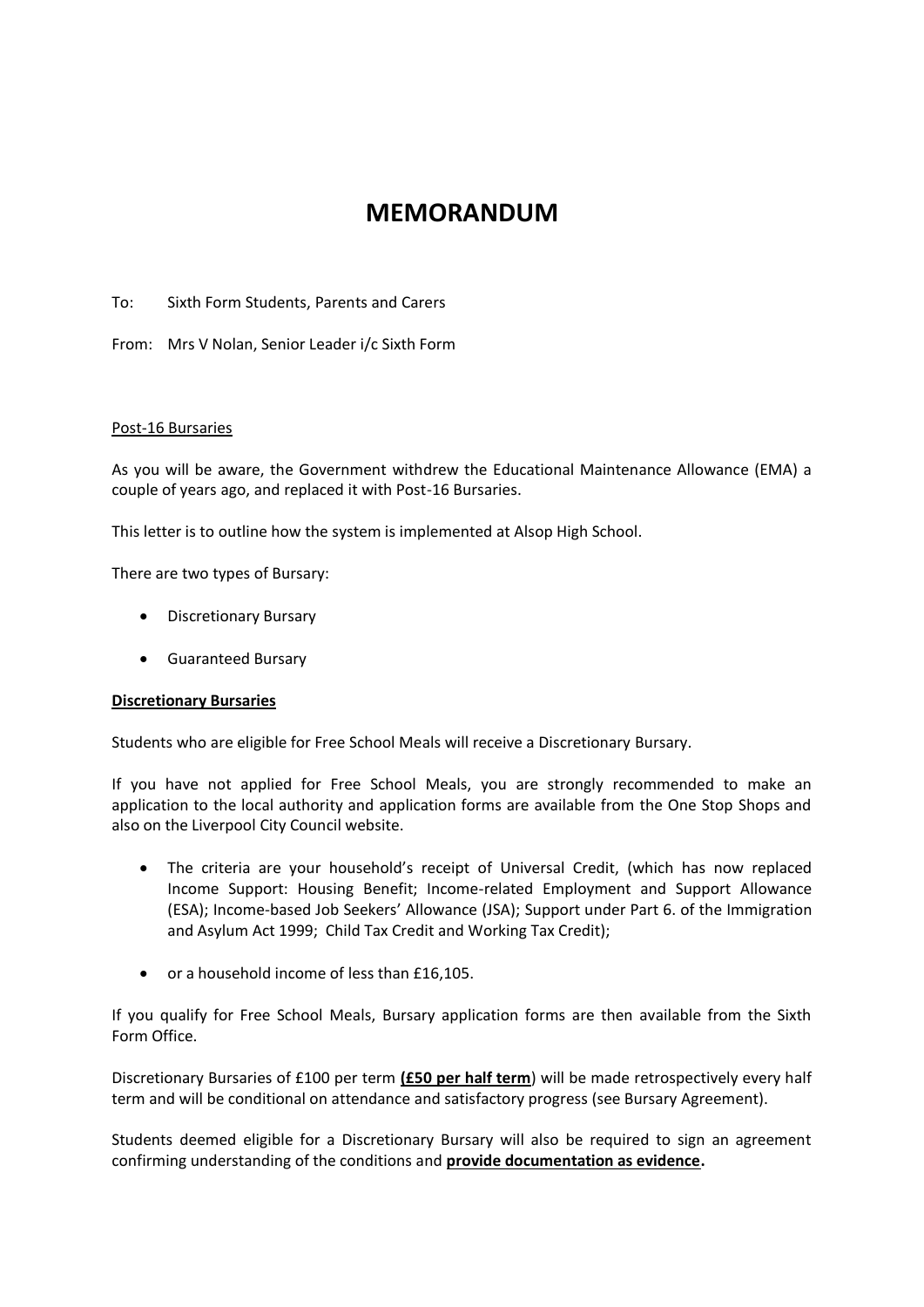# **MEMORANDUM**

To: Sixth Form Students, Parents and Carers

From: Mrs V Nolan, Senior Leader i/c Sixth Form

#### Post-16 Bursaries

As you will be aware, the Government withdrew the Educational Maintenance Allowance (EMA) a couple of years ago, and replaced it with Post-16 Bursaries.

This letter is to outline how the system is implemented at Alsop High School.

There are two types of Bursary:

- Discretionary Bursary
- Guaranteed Bursary

#### **Discretionary Bursaries**

Students who are eligible for Free School Meals will receive a Discretionary Bursary.

If you have not applied for Free School Meals, you are strongly recommended to make an application to the local authority and application forms are available from the One Stop Shops and also on the Liverpool City Council website.

- The criteria are your household's receipt of Universal Credit, (which has now replaced Income Support: Housing Benefit; Income-related Employment and Support Allowance (ESA); Income-based Job Seekers' Allowance (JSA); Support under Part 6. of the Immigration and Asylum Act 1999; Child Tax Credit and Working Tax Credit);
- or a household income of less than £16,105.

If you qualify for Free School Meals, Bursary application forms are then available from the Sixth Form Office.

Discretionary Bursaries of £100 per term **(£50 per half term**) will be made retrospectively every half term and will be conditional on attendance and satisfactory progress (see Bursary Agreement).

Students deemed eligible for a Discretionary Bursary will also be required to sign an agreement confirming understanding of the conditions and **provide documentation as evidence.**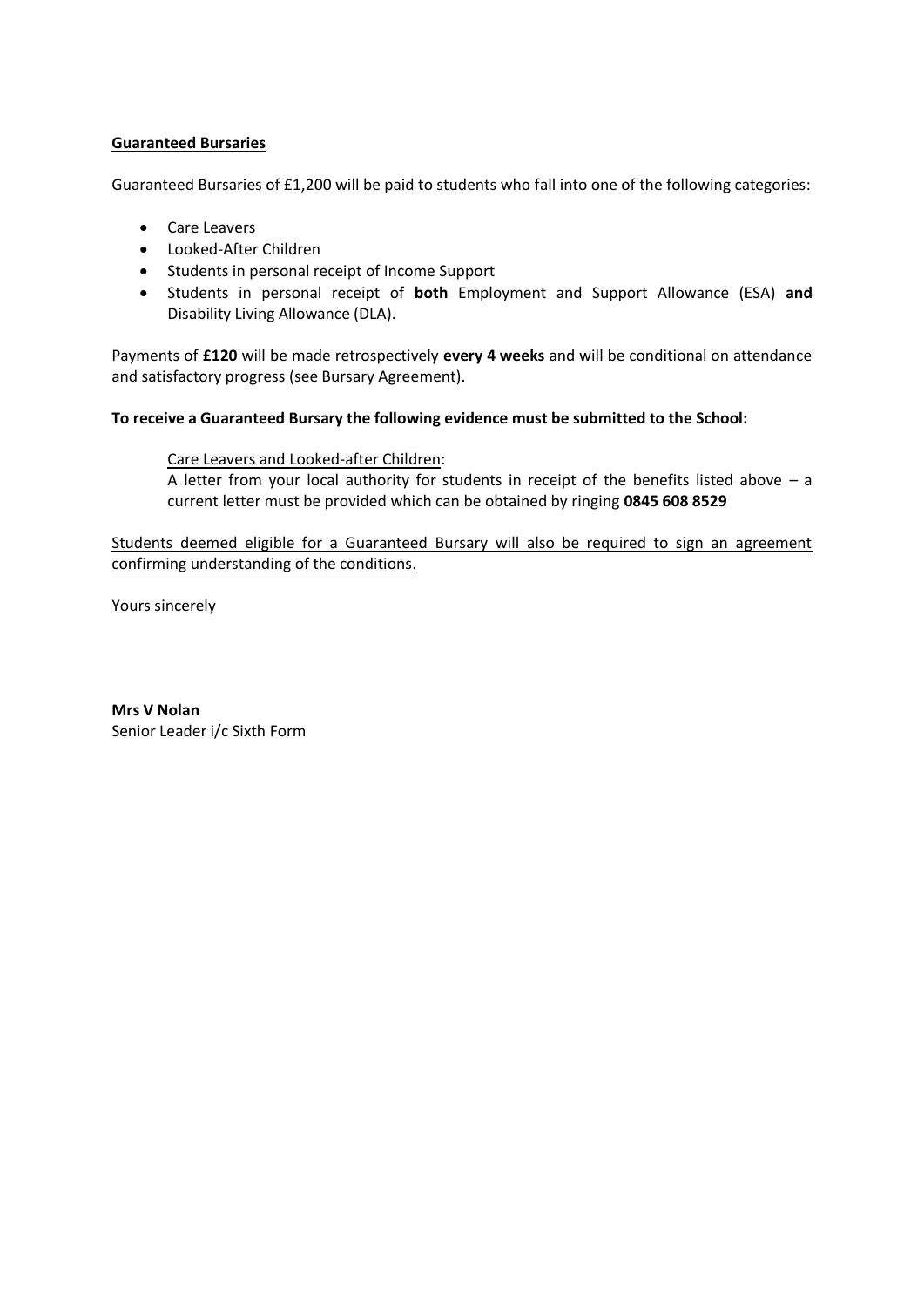## **Guaranteed Bursaries**

Guaranteed Bursaries of £1,200 will be paid to students who fall into one of the following categories:

- Care Leavers
- Looked-After Children
- Students in personal receipt of Income Support
- Students in personal receipt of **both** Employment and Support Allowance (ESA) **and**  Disability Living Allowance (DLA).

Payments of **£120** will be made retrospectively **every 4 weeks** and will be conditional on attendance and satisfactory progress (see Bursary Agreement).

#### **To receive a Guaranteed Bursary the following evidence must be submitted to the School:**

## Care Leavers and Looked-after Children:

A letter from your local authority for students in receipt of the benefits listed above  $-$  a current letter must be provided which can be obtained by ringing **0845 608 8529**

Students deemed eligible for a Guaranteed Bursary will also be required to sign an agreement confirming understanding of the conditions.

Yours sincerely

**Mrs V Nolan** Senior Leader i/c Sixth Form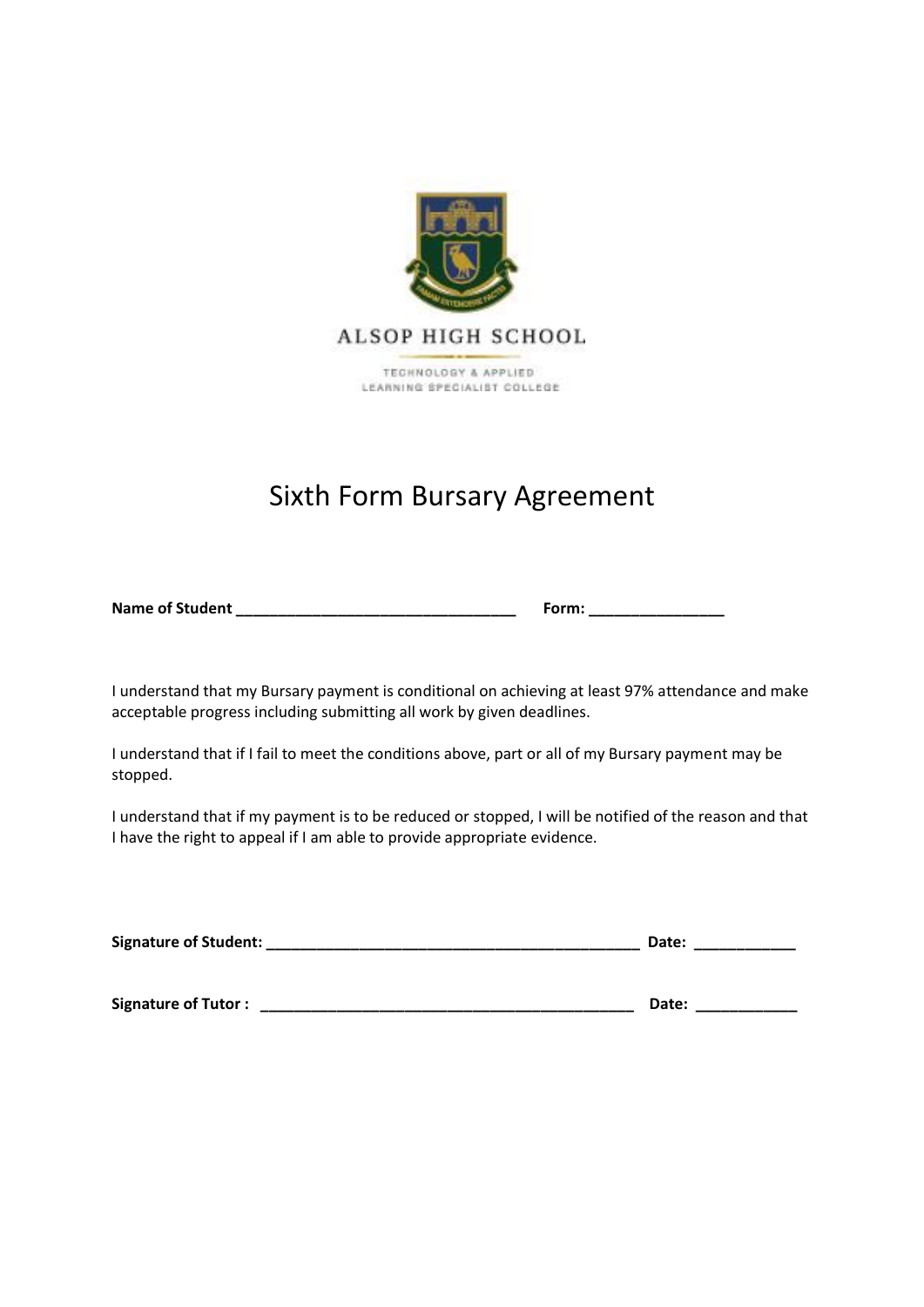

# Sixth Form Bursary Agreement

**Name of Student \_\_\_\_\_\_\_\_\_\_\_\_\_\_\_\_\_\_\_\_\_\_\_\_\_\_\_\_\_\_\_\_\_ Form: \_\_\_\_\_\_\_\_\_\_\_\_\_\_\_\_**

I understand that my Bursary payment is conditional on achieving at least 97% attendance and make acceptable progress including submitting all work by given deadlines.

I understand that if I fail to meet the conditions above, part or all of my Bursary payment may be stopped.

I understand that if my payment is to be reduced or stopped, I will be notified of the reason and that I have the right to appeal if I am able to provide appropriate evidence.

| Signature of Student:      | Date: |
|----------------------------|-------|
|                            |       |
| <b>Signature of Tutor:</b> | Date: |